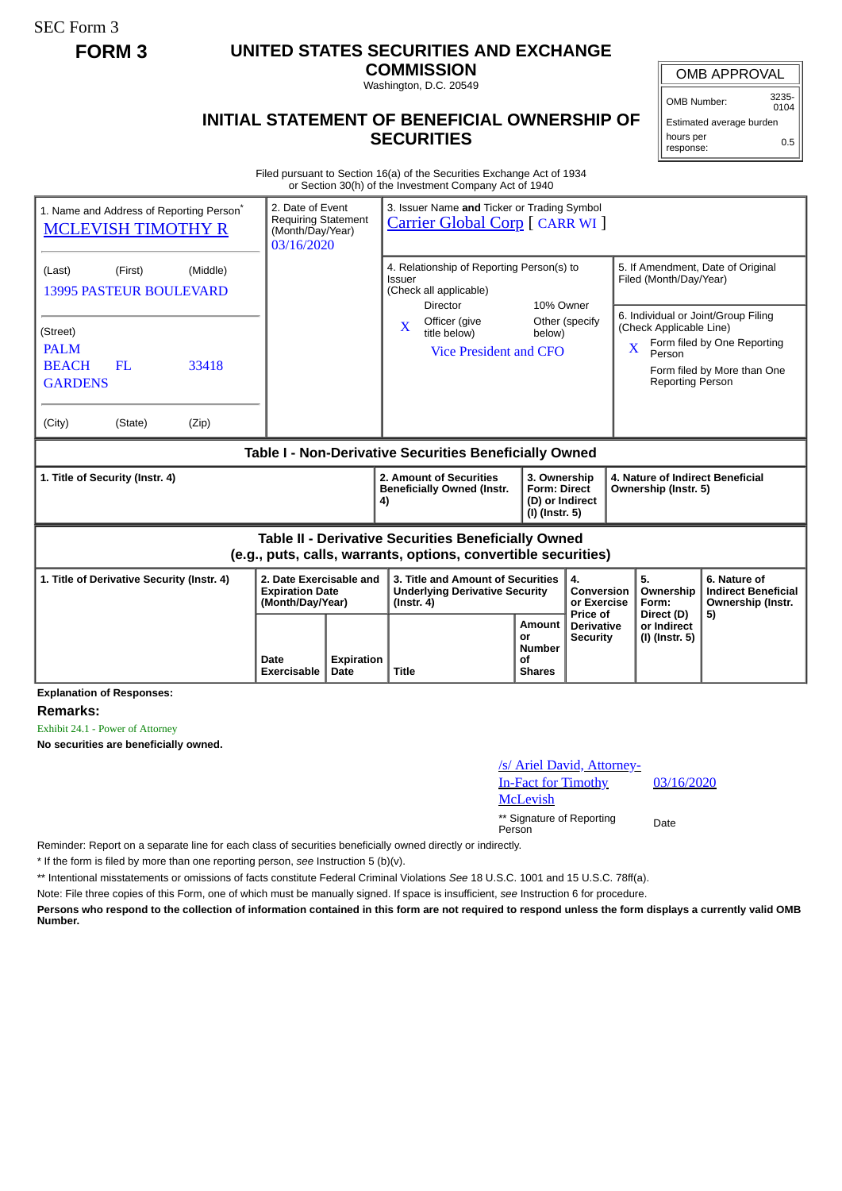SEC Form 3

## **FORM 3 UNITED STATES SECURITIES AND EXCHANGE**

**COMMISSION** Washington, D.C. 20549

## OMB APPROVAL

OMB Number: 3235-  $0104$ 

Estimated average burden hours per response: 0.5

## **INITIAL STATEMENT OF BENEFICIAL OWNERSHIP OF SECURITIES**

Filed pursuant to Section 16(a) of the Securities Exchange Act of 1934 or Section 30(h) of the Investment Company Act of 1940

| 1. Name and Address of Reporting Person*<br><b>MCLEVISH TIMOTHY R</b>                                                                                                     | 2. Date of Event<br><b>Requiring Statement</b><br>(Month/Day/Year)<br>03/16/2020 |  | 3. Issuer Name and Ticker or Trading Symbol<br><b>Carrier Global Corp</b> [ CARR WI ]                                                                                              |                     |                                                                                                                    |                                                                                                                                                 |                                                                                                 |  |
|---------------------------------------------------------------------------------------------------------------------------------------------------------------------------|----------------------------------------------------------------------------------|--|------------------------------------------------------------------------------------------------------------------------------------------------------------------------------------|---------------------|--------------------------------------------------------------------------------------------------------------------|-------------------------------------------------------------------------------------------------------------------------------------------------|-------------------------------------------------------------------------------------------------|--|
| (First)<br>(Middle)<br>(Last)<br><b>13995 PASTEUR BOULEVARD</b><br>(Street)<br><b>PALM</b><br><b>BEACH</b><br>FL<br>33418<br><b>GARDENS</b><br>(City)<br>(State)<br>(Zip) |                                                                                  |  | 4. Relationship of Reporting Person(s) to<br><b>Issuer</b><br>(Check all applicable)<br><b>Director</b><br>Officer (give<br>$\mathbf{X}$<br>title below)<br>Vice President and CFO | 10% Owner<br>below) | Other (specify                                                                                                     | Filed (Month/Day/Year)<br>6. Individual or Joint/Group Filing<br>(Check Applicable Line)<br>$\overline{X}$<br>Person<br><b>Reporting Person</b> | 5. If Amendment, Date of Original<br>Form filed by One Reporting<br>Form filed by More than One |  |
|                                                                                                                                                                           |                                                                                  |  |                                                                                                                                                                                    |                     |                                                                                                                    |                                                                                                                                                 |                                                                                                 |  |
| Table I - Non-Derivative Securities Beneficially Owned                                                                                                                    |                                                                                  |  |                                                                                                                                                                                    |                     |                                                                                                                    |                                                                                                                                                 |                                                                                                 |  |
| 1. Title of Security (Instr. 4)                                                                                                                                           |                                                                                  |  | 2. Amount of Securities<br><b>Beneficially Owned (Instr.</b>                                                                                                                       |                     | 4. Nature of Indirect Beneficial<br>3. Ownership<br><b>Form: Direct</b><br>Ownership (Instr. 5)<br>(D) or Indirect |                                                                                                                                                 |                                                                                                 |  |
|                                                                                                                                                                           |                                                                                  |  | 4)                                                                                                                                                                                 | (I) (Instr. 5)      |                                                                                                                    |                                                                                                                                                 |                                                                                                 |  |
|                                                                                                                                                                           |                                                                                  |  | <b>Table II - Derivative Securities Beneficially Owned</b><br>(e.g., puts, calls, warrants, options, convertible securities)                                                       |                     |                                                                                                                    |                                                                                                                                                 |                                                                                                 |  |
| 1. Title of Derivative Security (Instr. 4)                                                                                                                                | 2. Date Exercisable and<br><b>Expiration Date</b><br>(Month/Day/Year)            |  | 3. Title and Amount of Securities<br><b>Underlying Derivative Security</b><br>$($ lnstr. 4 $)$                                                                                     |                     | 4.<br>Conversion<br>or Exercise<br>Price of                                                                        | 5.<br>Ownership<br>Form:<br>Direct (D)                                                                                                          | 6. Nature of<br><b>Indirect Beneficial</b><br>Ownership (Instr.<br>5)                           |  |

**Explanation of Responses:**

**Remarks:**

Exhibit 24.1 - Power of Attorney

**No securities are beneficially owned.**

| /s/ Ariel David, Attorney- |  |
|----------------------------|--|
| <b>In-Fact for Timothy</b> |  |
| <b>McLevish</b>            |  |
| ** Signature of Reporting  |  |

03/16/2020

a Signature of Reporting Date<br>Person

Reminder: Report on a separate line for each class of securities beneficially owned directly or indirectly.

\* If the form is filed by more than one reporting person, *see* Instruction 5 (b)(v).

\*\* Intentional misstatements or omissions of facts constitute Federal Criminal Violations *See* 18 U.S.C. 1001 and 15 U.S.C. 78ff(a).

Note: File three copies of this Form, one of which must be manually signed. If space is insufficient, *see* Instruction 6 for procedure.

**Persons who respond to the collection of information contained in this form are not required to respond unless the form displays a currently valid OMB Number.**